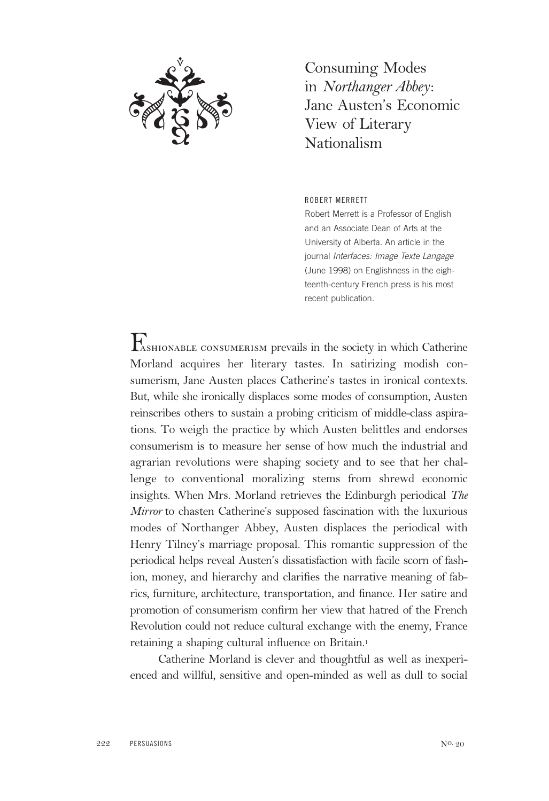

Consuming Modes in *Northanger Abbey*: Jane Austen's Economic View of Literary Nationalism

## ROBERT MERRETT

Robert Merrett is a Professor of English and an Associate Dean of Arts at the University of Alberta. An article in the journal Interfaces: Image Texte Langage (June 1998) on Englishness in the eighteenth-century French press is his most recent publication.

Fashionable consumerism prevails in the society in which Catherine Morland acquires her literary tastes. In satirizing modish consumerism, Jane Austen places Catherine's tastes in ironical contexts. But, while she ironically displaces some modes of consumption, Austen reinscribes others to sustain a probing criticism of middle-class aspirations. To weigh the practice by which Austen belittles and endorses consumerism is to measure her sense of how much the industrial and agrarian revolutions were shaping society and to see that her challenge to conventional moralizing stems from shrewd economic insights. When Mrs. Morland retrieves the Edinburgh periodical *The Mirror* to chasten Catherine's supposed fascination with the luxurious modes of Northanger Abbey, Austen displaces the periodical with Henry Tilney's marriage proposal. This romantic suppression of the periodical helps reveal Austen's dissatisfaction with facile scorn of fashion, money, and hierarchy and clarifies the narrative meaning of fabrics, furniture, architecture, transportation, and finance. Her satire and promotion of consumerism confirm her view that hatred of the French Revolution could not reduce cultural exchange with the enemy, France retaining a shaping cultural influence on Britain.1

Catherine Morland is clever and thoughtful as well as inexperienced and willful, sensitive and open-minded as well as dull to social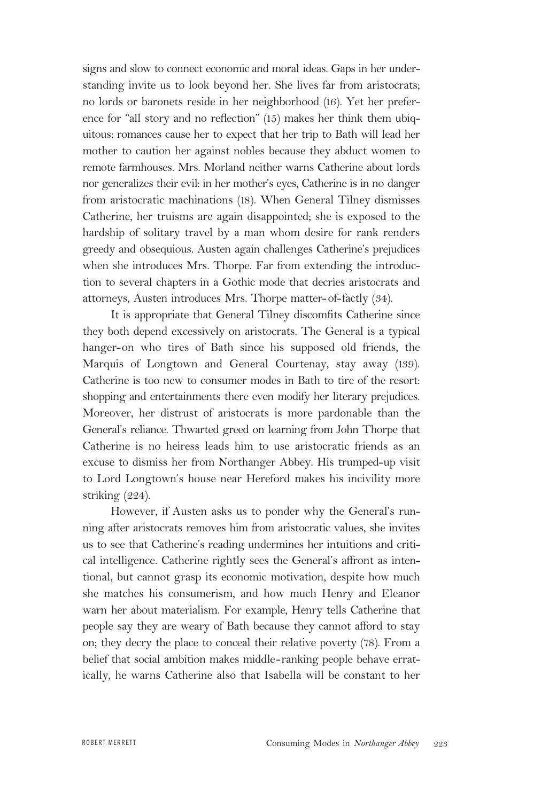signs and slow to connect economic and moral ideas. Gaps in her understanding invite us to look beyond her. She lives far from aristocrats; no lords or baronets reside in her neighborhood (16). Yet her preference for "all story and no reflection" (15) makes her think them ubiquitous: romances cause her to expect that her trip to Bath will lead her mother to caution her against nobles because they abduct women to remote farmhouses. Mrs. Morland neither warns Catherine about lords nor generalizes their evil: in her mother's eyes, Catherine is in no danger from aristocratic machinations (18). When General Tilney dismisses Catherine, her truisms are again disappointed; she is exposed to the hardship of solitary travel by a man whom desire for rank renders greedy and obsequious. Austen again challenges Catherine's prejudices when she introduces Mrs. Thorpe. Far from extending the introduction to several chapters in a Gothic mode that decries aristocrats and attorneys, Austen introduces Mrs. Thorpe matter-of-factly (34).

It is appropriate that General Tilney discomfits Catherine since they both depend excessively on aristocrats. The General is a typical hanger-on who tires of Bath since his supposed old friends, the Marquis of Longtown and General Courtenay, stay away (139). Catherine is too new to consumer modes in Bath to tire of the resort: shopping and entertainments there even modify her literary prejudices. Moreover, her distrust of aristocrats is more pardonable than the General's reliance. Thwarted greed on learning from John Thorpe that Catherine is no heiress leads him to use aristocratic friends as an excuse to dismiss her from Northanger Abbey. His trumped-up visit to Lord Longtown's house near Hereford makes his incivility more striking (224).

However, if Austen asks us to ponder why the General's running after aristocrats removes him from aristocratic values, she invites us to see that Catherine's reading undermines her intuitions and critical intelligence. Catherine rightly sees the General's affront as intentional, but cannot grasp its economic motivation, despite how much she matches his consumerism, and how much Henry and Eleanor warn her about materialism. For example, Henry tells Catherine that people say they are weary of Bath because they cannot afford to stay on; they decry the place to conceal their relative poverty (78). From a belief that social ambition makes middle-ranking people behave erratically, he warns Catherine also that Isabella will be constant to her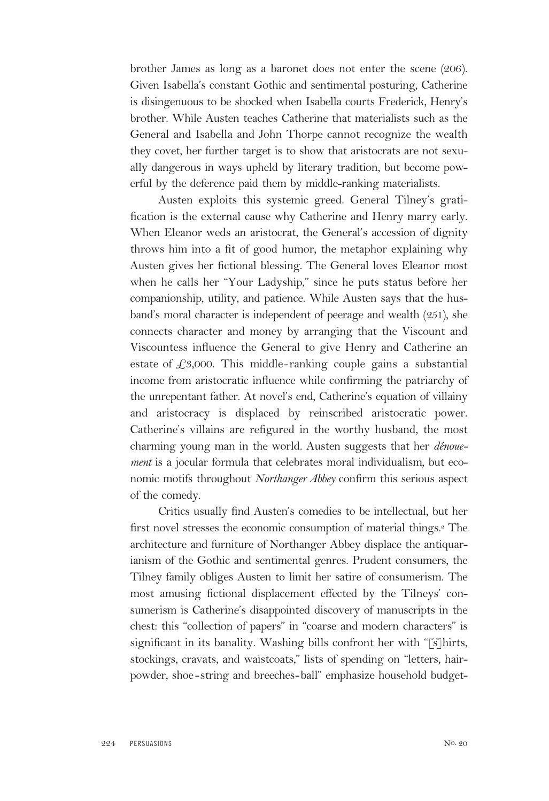brother James as long as a baronet does not enter the scene (206). Given Isabella's constant Gothic and sentimental posturing, Catherine is disingenuous to be shocked when Isabella courts Frederick, Henry's brother. While Austen teaches Catherine that materialists such as the General and Isabella and John Thorpe cannot recognize the wealth they covet, her further target is to show that aristocrats are not sexually dangerous in ways upheld by literary tradition, but become powerful by the deference paid them by middle-ranking materialists.

Austen exploits this systemic greed. General Tilney's gratification is the external cause why Catherine and Henry marry early. When Eleanor weds an aristocrat, the General's accession of dignity throws him into a fit of good humor, the metaphor explaining why Austen gives her fictional blessing. The General loves Eleanor most when he calls her "Your Ladyship," since he puts status before her companionship, utility, and patience. While Austen says that the husband's moral character is independent of peerage and wealth (251), she connects character and money by arranging that the Viscount and Viscountess influence the General to give Henry and Catherine an estate of  $\text{\textsterling}3,000$ . This middle-ranking couple gains a substantial income from aristocratic influence while confirming the patriarchy of the unrepentant father. At novel's end, Catherine's equation of villainy and aristocracy is displaced by reinscribed aristocratic power. Catherine's villains are refigured in the worthy husband, the most charming young man in the world. Austen suggests that her *dénouement* is a jocular formula that celebrates moral individualism, but economic motifs throughout *Northanger Abbey* confirm this serious aspect of the comedy.

Critics usually find Austen's comedies to be intellectual, but her first novel stresses the economic consumption of material things.<sup>2</sup> The architecture and furniture of Northanger Abbey displace the antiquarianism of the Gothic and sentimental genres. Prudent consumers, the Tilney family obliges Austen to limit her satire of consumerism. The most amusing fictional displacement effected by the Tilneys' consumerism is Catherine's disappointed discovery of manuscripts in the chest: this "collection of papers" in "coarse and modern characters" is significant in its banality. Washing bills confront her with "[s]hirts, stockings, cravats, and waistcoats," lists of spending on "letters, hairpowder, shoe-string and breeches-ball" emphasize household budget-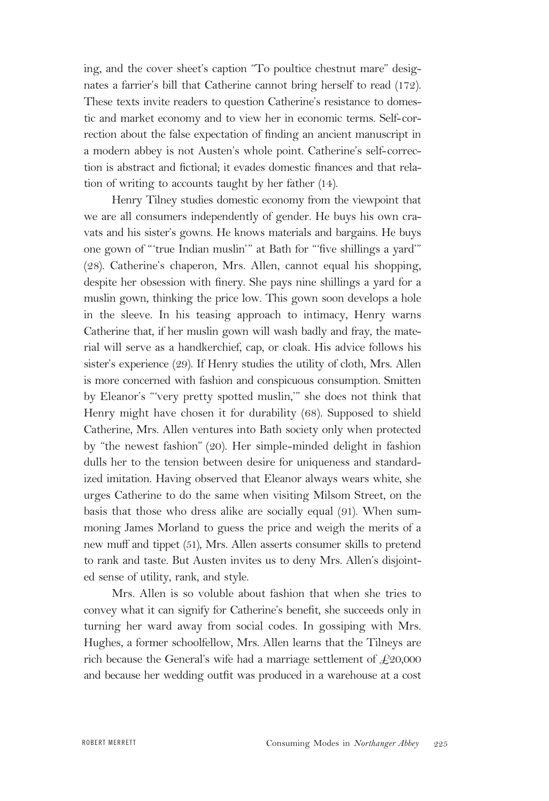ing, and the cover sheet's caption "To poultice chestnut mare" designates a farrier's bill that Catherine cannot bring herself to read (172). These texts invite readers to question Catherine's resistance to domestic and market economy and to view her in economic terms. Self-correction about the false expectation of finding an ancient manuscript in a modern abbey is not Austen's whole point. Catherine's self-correction is abstract and fictional; it evades domestic finances and that relation of writing to accounts taught by her father (14).

Henry Tilney studies domestic economy from the viewpoint that we are all consumers independently of gender. He buys his own cravats and his sister's gowns. He knows materials and bargains. He buys one gown of "'true Indian muslin'" at Bath for "'five shillings a yard'" (28). Catherine's chaperon, Mrs. Allen, cannot equal his shopping, despite her obsession with finery. She pays nine shillings a yard for a muslin gown, thinking the price low. This gown soon develops a hole in the sleeve. In his teasing approach to intimacy, Henry warns Catherine that, if her muslin gown will wash badly and fray, the material will serve as a handkerchief, cap, or cloak. His advice follows his sister's experience (29). If Henry studies the utility of cloth, Mrs. Allen is more concerned with fashion and conspicuous consumption. Smitten by Eleanor's "'very pretty spotted muslin,'" she does not think that Henry might have chosen it for durability (68). Supposed to shield Catherine, Mrs. Allen ventures into Bath society only when protected by "the newest fashion" (20). Her simple-minded delight in fashion dulls her to the tension between desire for uniqueness and standardized imitation. Having observed that Eleanor always wears white, she urges Catherine to do the same when visiting Milsom Street, on the basis that those who dress alike are socially equal (91). When summoning James Morland to guess the price and weigh the merits of a new muff and tippet (51), Mrs. Allen asserts consumer skills to pretend to rank and taste. But Austen invites us to deny Mrs. Allen's disjointed sense of utility, rank, and style.

Mrs. Allen is so voluble about fashion that when she tries to convey what it can signify for Catherine's benefit, she succeeds only in turning her ward away from social codes. In gossiping with Mrs. Hughes, a former schoolfellow, Mrs. Allen learns that the Tilneys are rich because the General's wife had a marriage settlement of  $\text{\textsterling}20,000$ and because her wedding outfit was produced in a warehouse at a cost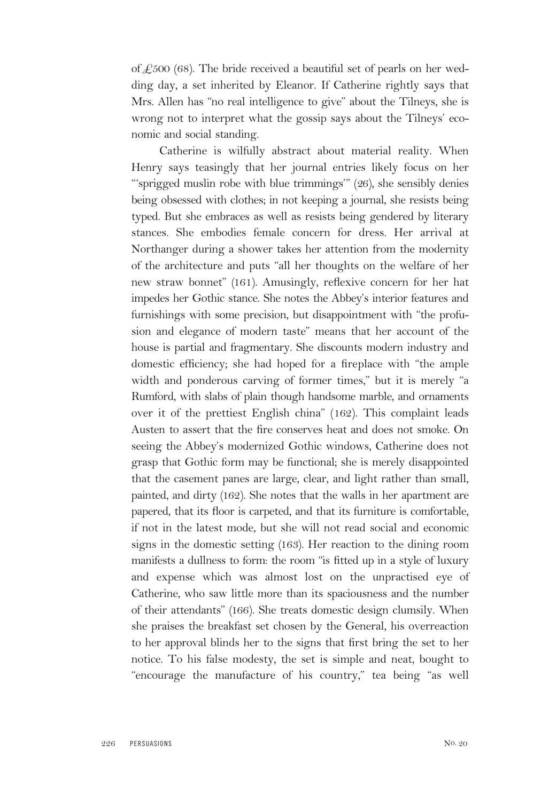of  $\mathcal{L}500$  (68). The bride received a beautiful set of pearls on her wedding day, a set inherited by Eleanor. If Catherine rightly says that Mrs. Allen has "no real intelligence to give" about the Tilneys, she is wrong not to interpret what the gossip says about the Tilneys' economic and social standing.

Catherine is wilfully abstract about material reality. When Henry says teasingly that her journal entries likely focus on her "'sprigged muslin robe with blue trimmings'" (26), she sensibly denies being obsessed with clothes; in not keeping a journal, she resists being typed. But she embraces as well as resists being gendered by literary stances. She embodies female concern for dress. Her arrival at Northanger during a shower takes her attention from the modernity of the architecture and puts "all her thoughts on the welfare of her new straw bonnet" (161). Amusingly, reflexive concern for her hat impedes her Gothic stance. She notes the Abbey's interior features and furnishings with some precision, but disappointment with "the profusion and elegance of modern taste" means that her account of the house is partial and fragmentary. She discounts modern industry and domestic efficiency; she had hoped for a fireplace with "the ample width and ponderous carving of former times," but it is merely "a Rumford, with slabs of plain though handsome marble, and ornaments over it of the prettiest English china" (162). This complaint leads Austen to assert that the fire conserves heat and does not smoke. On seeing the Abbey's modernized Gothic windows, Catherine does not grasp that Gothic form may be functional; she is merely disappointed that the casement panes are large, clear, and light rather than small, painted, and dirty (162). She notes that the walls in her apartment are papered, that its floor is carpeted, and that its furniture is comfortable, if not in the latest mode, but she will not read social and economic signs in the domestic setting (163). Her reaction to the dining room manifests a dullness to form: the room "is fitted up in a style of luxury and expense which was almost lost on the unpractised eye of Catherine, who saw little more than its spaciousness and the number of their attendants" (166). She treats domestic design clumsily. When she praises the breakfast set chosen by the General, his overreaction to her approval blinds her to the signs that first bring the set to her notice. To his false modesty, the set is simple and neat, bought to "encourage the manufacture of his country," tea being "as well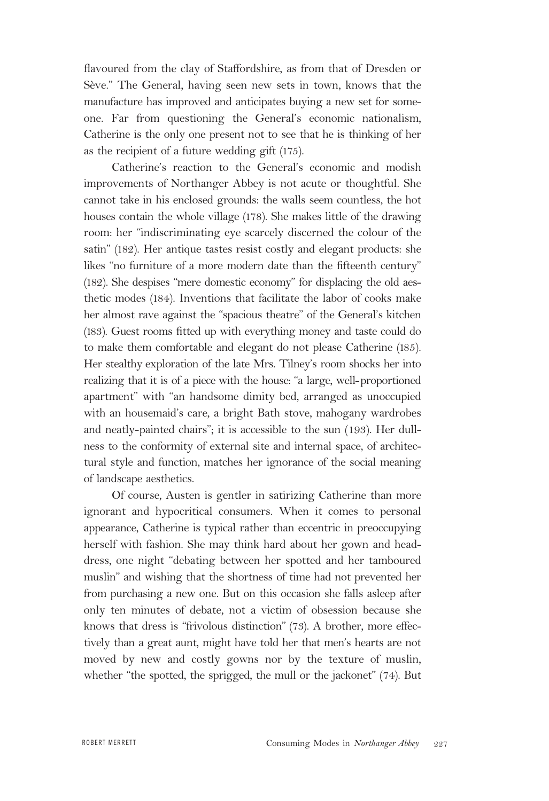flavoured from the clay of Staffordshire, as from that of Dresden or Sève." The General, having seen new sets in town, knows that the manufacture has improved and anticipates buying a new set for someone. Far from questioning the General's economic nationalism, Catherine is the only one present not to see that he is thinking of her as the recipient of a future wedding gift (175).

Catherine's reaction to the General's economic and modish improvements of Northanger Abbey is not acute or thoughtful. She cannot take in his enclosed grounds: the walls seem countless, the hot houses contain the whole village (178). She makes little of the drawing room: her "indiscriminating eye scarcely discerned the colour of the satin" (182). Her antique tastes resist costly and elegant products: she likes "no furniture of a more modern date than the fifteenth century" (182). She despises "mere domestic economy" for displacing the old aesthetic modes (184). Inventions that facilitate the labor of cooks make her almost rave against the "spacious theatre" of the General's kitchen (183). Guest rooms fitted up with everything money and taste could do to make them comfortable and elegant do not please Catherine (185). Her stealthy exploration of the late Mrs. Tilney's room shocks her into realizing that it is of a piece with the house: "a large, well-proportioned apartment" with "an handsome dimity bed, arranged as unoccupied with an housemaid's care, a bright Bath stove, mahogany wardrobes and neatly-painted chairs"; it is accessible to the sun (193). Her dullness to the conformity of external site and internal space, of architectural style and function, matches her ignorance of the social meaning of landscape aesthetics.

Of course, Austen is gentler in satirizing Catherine than more ignorant and hypocritical consumers. When it comes to personal appearance, Catherine is typical rather than eccentric in preoccupying herself with fashion. She may think hard about her gown and headdress, one night "debating between her spotted and her tamboured muslin" and wishing that the shortness of time had not prevented her from purchasing a new one. But on this occasion she falls asleep after only ten minutes of debate, not a victim of obsession because she knows that dress is "frivolous distinction" (73). A brother, more effectively than a great aunt, might have told her that men's hearts are not moved by new and costly gowns nor by the texture of muslin, whether "the spotted, the sprigged, the mull or the jackonet" (74). But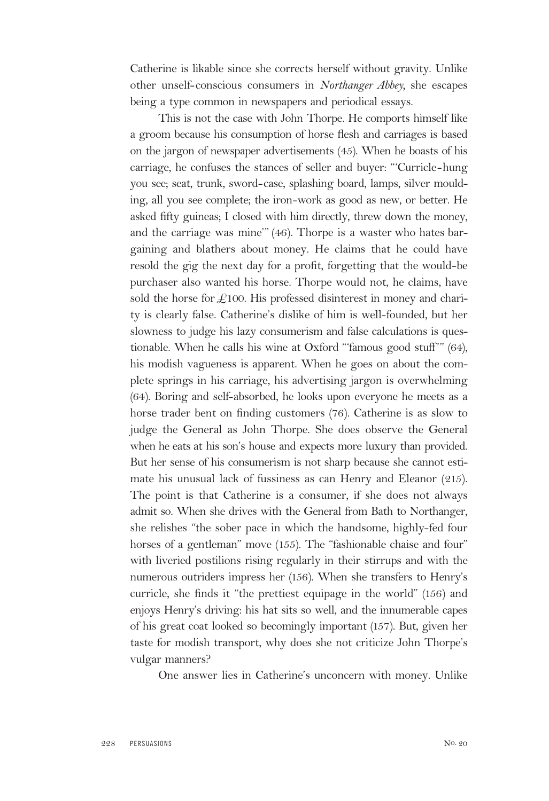Catherine is likable since she corrects herself without gravity. Unlike other unself-conscious consumers in *Northanger Abbey,* she escapes being a type common in newspapers and periodical essays.

This is not the case with John Thorpe. He comports himself like a groom because his consumption of horse flesh and carriages is based on the jargon of newspaper advertisements (45). When he boasts of his carriage, he confuses the stances of seller and buyer: "'Curricle-hung you see; seat, trunk, sword-case, splashing board, lamps, silver moulding, all you see complete; the iron-work as good as new, or better. He asked fifty guineas; I closed with him directly, threw down the money, and the carriage was mine'" (46). Thorpe is a waster who hates bargaining and blathers about money. He claims that he could have resold the gig the next day for a profit, forgetting that the would-be purchaser also wanted his horse. Thorpe would not, he claims, have sold the horse for  $\pounds$ 100. His professed disinterest in money and charity is clearly false. Catherine's dislike of him is well-founded, but her slowness to judge his lazy consumerism and false calculations is questionable. When he calls his wine at Oxford "'famous good stuff'" (64), his modish vagueness is apparent. When he goes on about the complete springs in his carriage, his advertising jargon is overwhelming (64). Boring and self-absorbed, he looks upon everyone he meets as a horse trader bent on finding customers (76). Catherine is as slow to judge the General as John Thorpe. She does observe the General when he eats at his son's house and expects more luxury than provided. But her sense of his consumerism is not sharp because she cannot estimate his unusual lack of fussiness as can Henry and Eleanor (215). The point is that Catherine is a consumer, if she does not always admit so. When she drives with the General from Bath to Northanger, she relishes "the sober pace in which the handsome, highly-fed four horses of a gentleman" move (155). The "fashionable chaise and four" with liveried postilions rising regularly in their stirrups and with the numerous outriders impress her (156). When she transfers to Henry's curricle, she finds it "the prettiest equipage in the world" (156) and enjoys Henry's driving: his hat sits so well, and the innumerable capes of his great coat looked so becomingly important (157). But, given her taste for modish transport, why does she not criticize John Thorpe's vulgar manners?

One answer lies in Catherine's unconcern with money. Unlike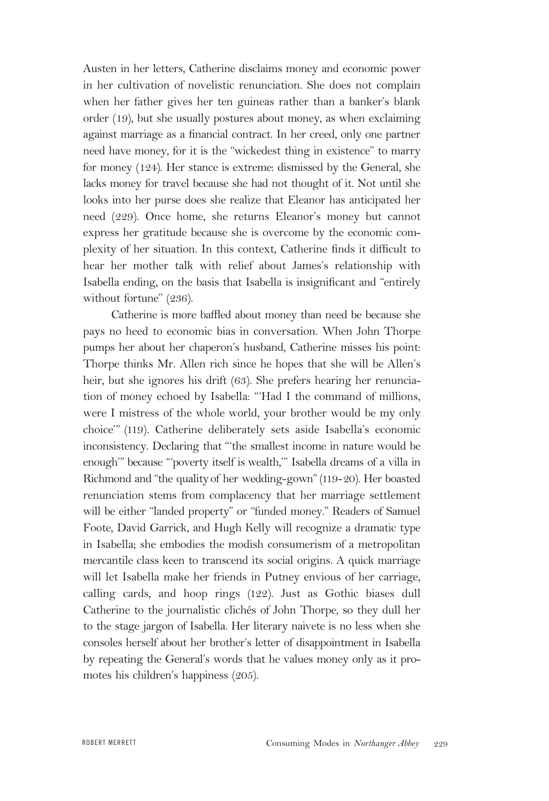Austen in her letters, Catherine disclaims money and economic power in her cultivation of novelistic renunciation. She does not complain when her father gives her ten guineas rather than a banker's blank order (19), but she usually postures about money, as when exclaiming against marriage as a financial contract. In her creed, only one partner need have money, for it is the "wickedest thing in existence" to marry for money (124). Her stance is extreme: dismissed by the General, she lacks money for travel because she had not thought of it. Not until she looks into her purse does she realize that Eleanor has anticipated her need (229). Once home, she returns Eleanor's money but cannot express her gratitude because she is overcome by the economic complexity of her situation. In this context, Catherine finds it difficult to hear her mother talk with relief about James's relationship with Isabella ending, on the basis that Isabella is insignificant and "entirely without fortune" (236).

Catherine is more baffled about money than need be because she pays no heed to economic bias in conversation. When John Thorpe pumps her about her chaperon's husband, Catherine misses his point: Thorpe thinks Mr. Allen rich since he hopes that she will be Allen's heir, but she ignores his drift (63). She prefers hearing her renunciation of money echoed by Isabella: "'Had I the command of millions, were I mistress of the whole world, your brother would be my only choice'" (119). Catherine deliberately sets aside Isabella's economic inconsistency. Declaring that "'the smallest income in nature would be enough'" because "'poverty itself is wealth,'" Isabella dreams of a villa in Richmond and "the qualityof her wedding-gown" (119-20). Her boasted renunciation stems from complacency that her marriage settlement will be either "landed property" or "funded money." Readers of Samuel Foote, David Garrick, and Hugh Kelly will recognize a dramatic type in Isabella; she embodies the modish consumerism of a metropolitan mercantile class keen to transcend its social origins. A quick marriage will let Isabella make her friends in Putney envious of her carriage, calling cards, and hoop rings (122). Just as Gothic biases dull Catherine to the journalistic clichés of John Thorpe, so they dull her to the stage jargon of Isabella. Her literary naivete is no less when she consoles herself about her brother's letter of disappointment in Isabella by repeating the General's words that he values money only as it promotes his children's happiness (205).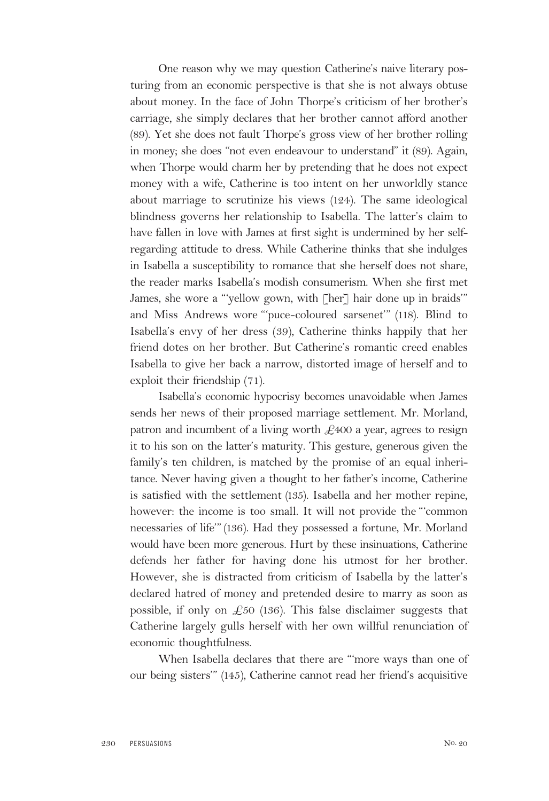One reason why we may question Catherine's naive literary posturing from an economic perspective is that she is not always obtuse about money. In the face of John Thorpe's criticism of her brother's carriage, she simply declares that her brother cannot afford another (89). Yet she does not fault Thorpe's gross view of her brother rolling in money; she does "not even endeavour to understand" it (89). Again, when Thorpe would charm her by pretending that he does not expect money with a wife, Catherine is too intent on her unworldly stance about marriage to scrutinize his views (124). The same ideological blindness governs her relationship to Isabella. The latter's claim to have fallen in love with James at first sight is undermined by her selfregarding attitude to dress. While Catherine thinks that she indulges in Isabella a susceptibility to romance that she herself does not share, the reader marks Isabella's modish consumerism. When she first met James, she wore a "'yellow gown, with [her] hair done up in braids'" and Miss Andrews wore "'puce-coloured sarsenet'" (118). Blind to Isabella's envy of her dress (39), Catherine thinks happily that her friend dotes on her brother. But Catherine's romantic creed enables Isabella to give her back a narrow, distorted image of herself and to exploit their friendship (71).

Isabella's economic hypocrisy becomes unavoidable when James sends her news of their proposed marriage settlement. Mr. Morland, patron and incumbent of a living worth  $\text{\textsterling}400$  a year, agrees to resign it to his son on the latter's maturity. This gesture, generous given the family's ten children, is matched by the promise of an equal inheritance. Never having given a thought to her father's income, Catherine is satisfied with the settlement (135). Isabella and her mother repine, however: the income is too small. It will not provide the "'common necessaries of life'"(136). Had they possessed a fortune, Mr. Morland would have been more generous. Hurt by these insinuations, Catherine defends her father for having done his utmost for her brother. However, she is distracted from criticism of Isabella by the latter's declared hatred of money and pretended desire to marry as soon as possible, if only on  $\mathcal{L}50$  (136). This false disclaimer suggests that Catherine largely gulls herself with her own willful renunciation of economic thoughtfulness.

When Isabella declares that there are "'more ways than one of our being sisters'" (145), Catherine cannot read her friend's acquisitive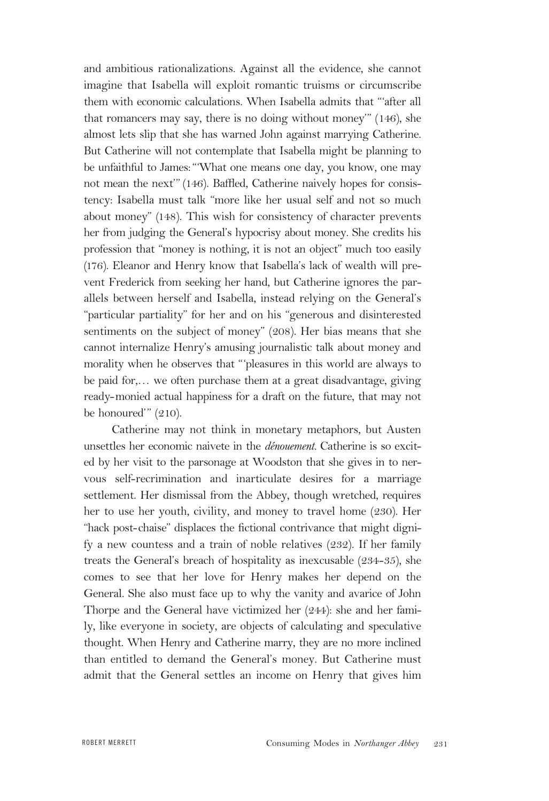and ambitious rationalizations. Against all the evidence, she cannot imagine that Isabella will exploit romantic truisms or circumscribe them with economic calculations. When Isabella admits that "'after all that romancers may say, there is no doing without money'" (146), she almost lets slip that she has warned John against marrying Catherine. But Catherine will not contemplate that Isabella might be planning to be unfaithful to James:"'What one means one day, you know, one may not mean the next'" (146). Baffled, Catherine naively hopes for consistency: Isabella must talk "more like her usual self and not so much about money" (148). This wish for consistency of character prevents her from judging the General's hypocrisy about money. She credits his profession that "money is nothing, it is not an object" much too easily (176). Eleanor and Henry know that Isabella's lack of wealth will prevent Frederick from seeking her hand, but Catherine ignores the parallels between herself and Isabella, instead relying on the General's "particular partiality" for her and on his "generous and disinterested sentiments on the subject of money" (208). Her bias means that she cannot internalize Henry's amusing journalistic talk about money and morality when he observes that "'pleasures in this world are always to be paid for,… we often purchase them at a great disadvantage, giving ready-monied actual happiness for a draft on the future, that may not be honoured'" (210).

Catherine may not think in monetary metaphors, but Austen unsettles her economic naivete in the *dénouement.* Catherine is so excited by her visit to the parsonage at Woodston that she gives in to nervous self-recrimination and inarticulate desires for a marriage settlement. Her dismissal from the Abbey, though wretched, requires her to use her youth, civility, and money to travel home (230). Her "hack post-chaise" displaces the fictional contrivance that might dignify a new countess and a train of noble relatives (232). If her family treats the General's breach of hospitality as inexcusable (234-35), she comes to see that her love for Henry makes her depend on the General. She also must face up to why the vanity and avarice of John Thorpe and the General have victimized her (244): she and her family, like everyone in society, are objects of calculating and speculative thought. When Henry and Catherine marry, they are no more inclined than entitled to demand the General's money. But Catherine must admit that the General settles an income on Henry that gives him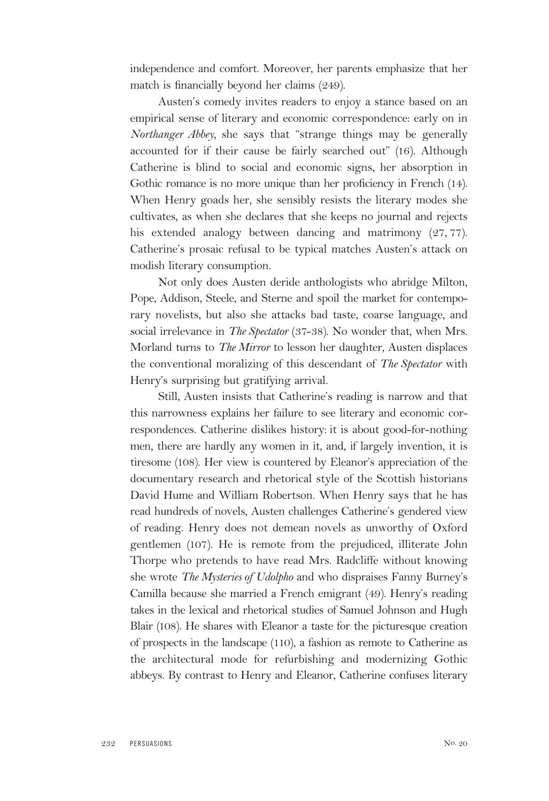independence and comfort. Moreover, her parents emphasize that her match is financially beyond her claims (249).

Austen's comedy invites readers to enjoy a stance based on an empirical sense of literary and economic correspondence: early on in *Northanger Abbey,* she says that "strange things may be generally accounted for if their cause be fairly searched out" (16). Although Catherine is blind to social and economic signs, her absorption in Gothic romance is no more unique than her proficiency in French (14). When Henry goads her, she sensibly resists the literary modes she cultivates, as when she declares that she keeps no journal and rejects his extended analogy between dancing and matrimony (27, 77). Catherine's prosaic refusal to be typical matches Austen's attack on modish literary consumption.

Not only does Austen deride anthologists who abridge Milton, Pope, Addison, Steele, and Sterne and spoil the market for contemporary novelists, but also she attacks bad taste, coarse language, and social irrelevance in *The Spectator* (37-38). No wonder that, when Mrs. Morland turns to *The Mirror* to lesson her daughter, Austen displaces the conventional moralizing of this descendant of *The Spectator* with Henry's surprising but gratifying arrival.

Still, Austen insists that Catherine's reading is narrow and that this narrowness explains her failure to see literary and economic correspondences. Catherine dislikes history: it is about good-for-nothing men, there are hardly any women in it, and, if largely invention, it is tiresome (108). Her view is countered by Eleanor's appreciation of the documentary research and rhetorical style of the Scottish historians David Hume and William Robertson. When Henry says that he has read hundreds of novels, Austen challenges Catherine's gendered view of reading. Henry does not demean novels as unworthy of Oxford gentlemen (107). He is remote from the prejudiced, illiterate John Thorpe who pretends to have read Mrs. Radcliffe without knowing she wrote *The Mysteries of Udolpho* and who dispraises Fanny Burney's Camilla because she married a French emigrant (49). Henry's reading takes in the lexical and rhetorical studies of Samuel Johnson and Hugh Blair (108). He shares with Eleanor a taste for the picturesque creation of prospects in the landscape (110), a fashion as remote to Catherine as the architectural mode for refurbishing and modernizing Gothic abbeys. By contrast to Henry and Eleanor, Catherine confuses literary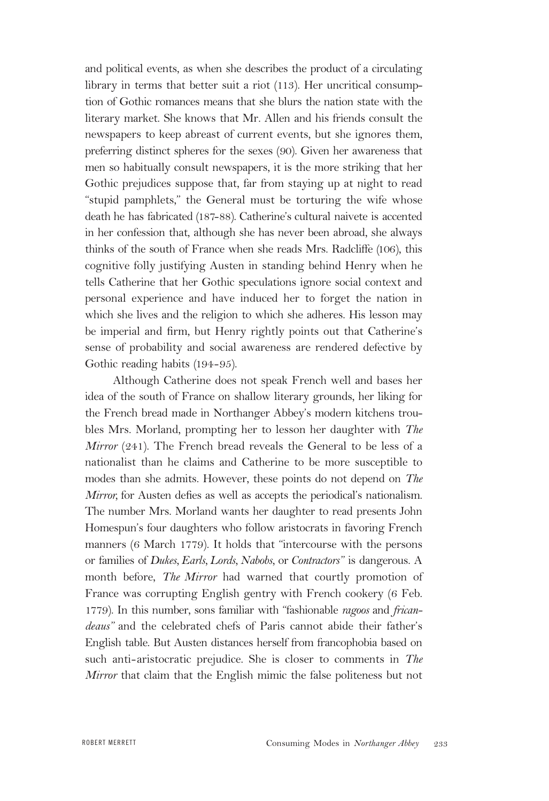and political events, as when she describes the product of a circulating library in terms that better suit a riot (113). Her uncritical consumption of Gothic romances means that she blurs the nation state with the literary market. She knows that Mr. Allen and his friends consult the newspapers to keep abreast of current events, but she ignores them, preferring distinct spheres for the sexes (90). Given her awareness that men so habitually consult newspapers, it is the more striking that her Gothic prejudices suppose that, far from staying up at night to read "stupid pamphlets," the General must be torturing the wife whose death he has fabricated (187-88). Catherine's cultural naivete is accented in her confession that, although she has never been abroad, she always thinks of the south of France when she reads Mrs. Radcliffe (106), this cognitive folly justifying Austen in standing behind Henry when he tells Catherine that her Gothic speculations ignore social context and personal experience and have induced her to forget the nation in which she lives and the religion to which she adheres. His lesson may be imperial and firm, but Henry rightly points out that Catherine's sense of probability and social awareness are rendered defective by Gothic reading habits (194-95).

Although Catherine does not speak French well and bases her idea of the south of France on shallow literary grounds, her liking for the French bread made in Northanger Abbey's modern kitchens troubles Mrs. Morland, prompting her to lesson her daughter with *The Mirror* (241). The French bread reveals the General to be less of a nationalist than he claims and Catherine to be more susceptible to modes than she admits. However, these points do not depend on *The Mirror,* for Austen defies as well as accepts the periodical's nationalism. The number Mrs. Morland wants her daughter to read presents John Homespun's four daughters who follow aristocrats in favoring French manners (6 March 1779). It holds that "intercourse with the persons or families of *Dukes, Earls, Lords, Nabobs,* or *Contractors*" is dangerous. A month before, *The Mirror* had warned that courtly promotion of France was corrupting English gentry with French cookery (6 Feb. 1779). In this number, sons familiar with "fashionable *ragoos* and *fricandeaus*" and the celebrated chefs of Paris cannot abide their father's English table. But Austen distances herself from francophobia based on such anti-aristocratic prejudice. She is closer to comments in *The Mirror* that claim that the English mimic the false politeness but not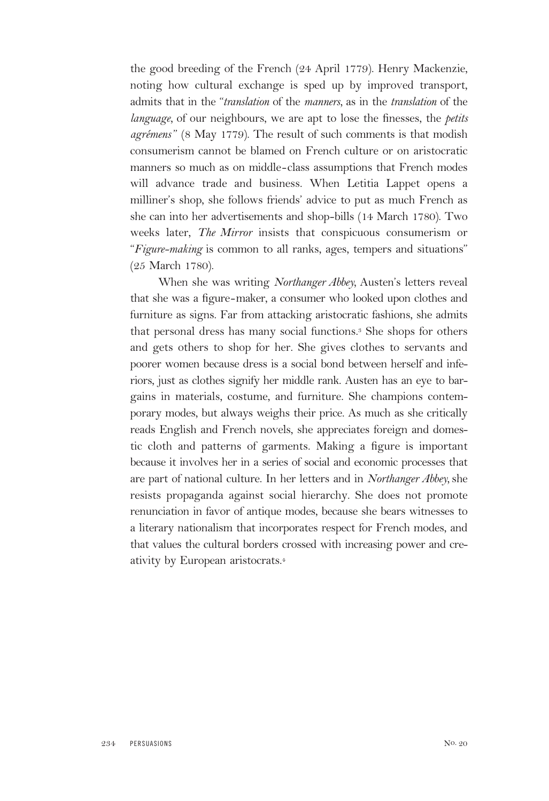the good breeding of the French (24 April 1779). Henry Mackenzie, noting how cultural exchange is sped up by improved transport, admits that in the "*translation* of the *manners,* as in the *translation* of the *language,* of our neighbours, we are apt to lose the finesses, the *petits agrémens*" (8 May 1779). The result of such comments is that modish consumerism cannot be blamed on French culture or on aristocratic manners so much as on middle-class assumptions that French modes will advance trade and business. When Letitia Lappet opens a milliner's shop, she follows friends' advice to put as much French as she can into her advertisements and shop-bills (14 March 1780). Two weeks later, *The Mirror* insists that conspicuous consumerism or "*Figure-making* is common to all ranks, ages, tempers and situations" (25 March 1780).

When she was writing *Northanger Abbey,* Austen's letters reveal that she was a figure-maker, a consumer who looked upon clothes and furniture as signs. Far from attacking aristocratic fashions, she admits that personal dress has many social functions.3 She shops for others and gets others to shop for her. She gives clothes to servants and poorer women because dress is a social bond between herself and inferiors, just as clothes signify her middle rank. Austen has an eye to bargains in materials, costume, and furniture. She champions contemporary modes, but always weighs their price. As much as she critically reads English and French novels, she appreciates foreign and domestic cloth and patterns of garments. Making a figure is important because it involves her in a series of social and economic processes that are part of national culture. In her letters and in *Northanger Abbey,* she resists propaganda against social hierarchy. She does not promote renunciation in favor of antique modes, because she bears witnesses to a literary nationalism that incorporates respect for French modes, and that values the cultural borders crossed with increasing power and creativity by European aristocrats.4